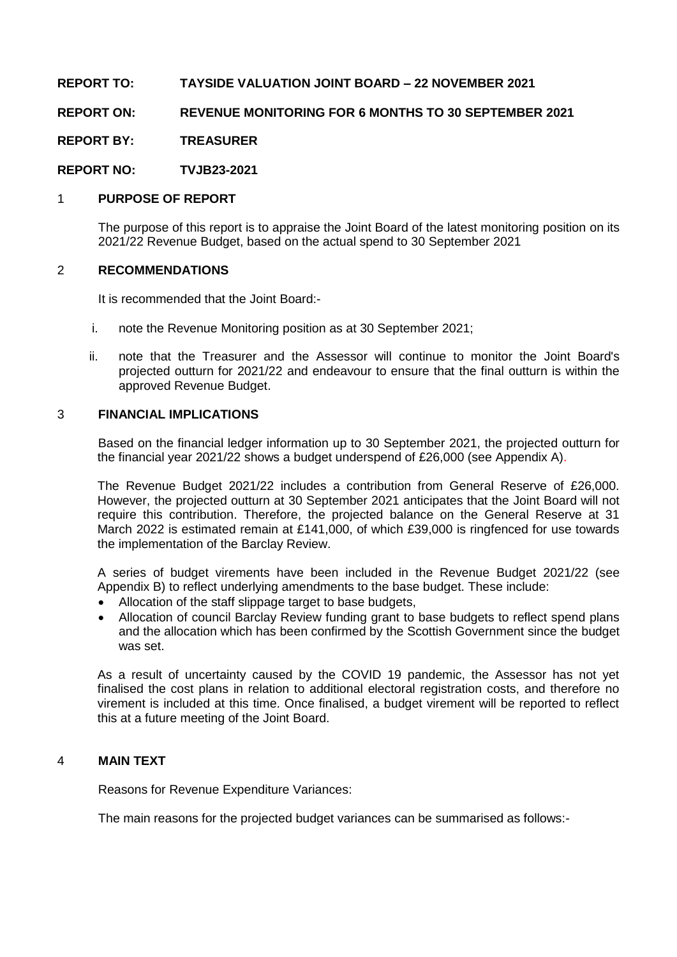# **REPORT TO: TAYSIDE VALUATION JOINT BOARD – 22 NOVEMBER 2021**

# **REPORT ON: REVENUE MONITORING FOR 6 MONTHS TO 30 SEPTEMBER 2021**

**REPORT BY: TREASURER**

**REPORT NO: TVJB23-2021**

## 1 **PURPOSE OF REPORT**

The purpose of this report is to appraise the Joint Board of the latest monitoring position on its 2021/22 Revenue Budget, based on the actual spend to 30 September 2021

### 2 **RECOMMENDATIONS**

It is recommended that the Joint Board:-

- i. note the Revenue Monitoring position as at 30 September 2021;
- ii. note that the Treasurer and the Assessor will continue to monitor the Joint Board's projected outturn for 2021/22 and endeavour to ensure that the final outturn is within the approved Revenue Budget.

### 3 **FINANCIAL IMPLICATIONS**

Based on the financial ledger information up to 30 September 2021, the projected outturn for the financial year 2021/22 shows a budget underspend of £26,000 (see Appendix A).

The Revenue Budget 2021/22 includes a contribution from General Reserve of £26,000. However, the projected outturn at 30 September 2021 anticipates that the Joint Board will not require this contribution. Therefore, the projected balance on the General Reserve at 31 March 2022 is estimated remain at £141,000, of which £39,000 is ringfenced for use towards the implementation of the Barclay Review.

A series of budget virements have been included in the Revenue Budget 2021/22 (see Appendix B) to reflect underlying amendments to the base budget. These include:

- Allocation of the staff slippage target to base budgets,
- Allocation of council Barclay Review funding grant to base budgets to reflect spend plans and the allocation which has been confirmed by the Scottish Government since the budget was set.

As a result of uncertainty caused by the COVID 19 pandemic, the Assessor has not yet finalised the cost plans in relation to additional electoral registration costs, and therefore no virement is included at this time. Once finalised, a budget virement will be reported to reflect this at a future meeting of the Joint Board.

#### 4 **MAIN TEXT**

Reasons for Revenue Expenditure Variances:

The main reasons for the projected budget variances can be summarised as follows:-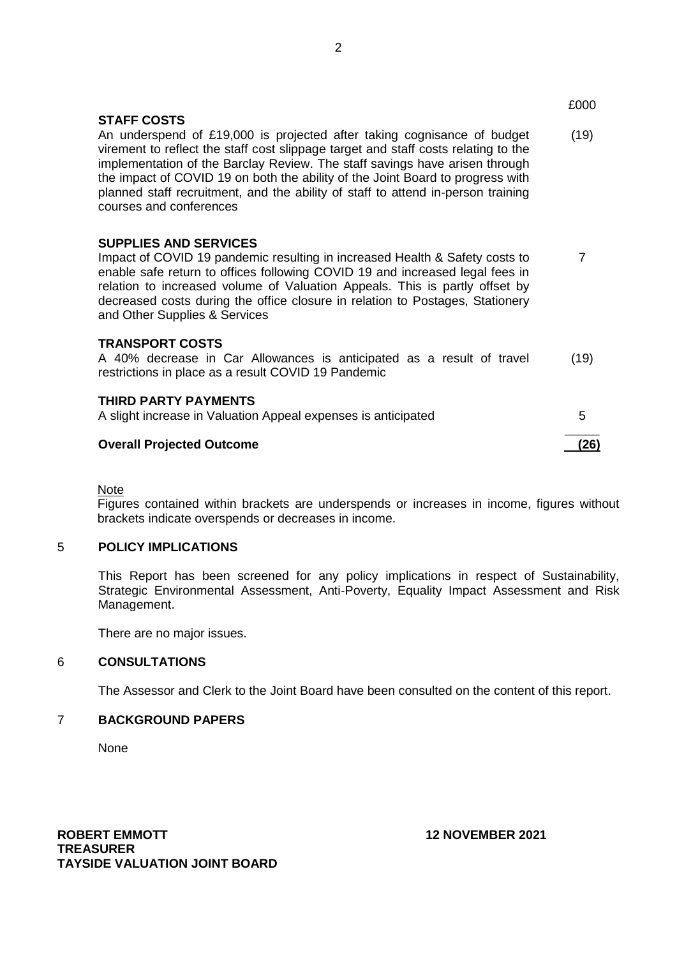|                                                                                                                                                                                                                                                                                                                                                                                                                                                                     | £000 |
|---------------------------------------------------------------------------------------------------------------------------------------------------------------------------------------------------------------------------------------------------------------------------------------------------------------------------------------------------------------------------------------------------------------------------------------------------------------------|------|
| <b>STAFF COSTS</b><br>An underspend of £19,000 is projected after taking cognisance of budget<br>virement to reflect the staff cost slippage target and staff costs relating to the<br>implementation of the Barclay Review. The staff savings have arisen through<br>the impact of COVID 19 on both the ability of the Joint Board to progress with<br>planned staff recruitment, and the ability of staff to attend in-person training<br>courses and conferences | (19) |
| <b>SUPPLIES AND SERVICES</b><br>Impact of COVID 19 pandemic resulting in increased Health & Safety costs to<br>enable safe return to offices following COVID 19 and increased legal fees in<br>relation to increased volume of Valuation Appeals. This is partly offset by<br>decreased costs during the office closure in relation to Postages, Stationery<br>and Other Supplies & Services                                                                        | 7    |
| <b>TRANSPORT COSTS</b><br>A 40% decrease in Car Allowances is anticipated as a result of travel<br>restrictions in place as a result COVID 19 Pandemic                                                                                                                                                                                                                                                                                                              | (19) |
| <b>THIRD PARTY PAYMENTS</b><br>A slight increase in Valuation Appeal expenses is anticipated                                                                                                                                                                                                                                                                                                                                                                        | 5    |
| <b>Overall Projected Outcome</b>                                                                                                                                                                                                                                                                                                                                                                                                                                    | (26) |

**Note** 

Figures contained within brackets are underspends or increases in income, figures without brackets indicate overspends or decreases in income.

#### 5 **POLICY IMPLICATIONS**

This Report has been screened for any policy implications in respect of Sustainability, Strategic Environmental Assessment, Anti-Poverty, Equality Impact Assessment and Risk Management.

There are no major issues.

### 6 **CONSULTATIONS**

The Assessor and Clerk to the Joint Board have been consulted on the content of this report.

# 7 **BACKGROUND PAPERS**

None

**ROBERT EMMOTT 12 NOVEMBER 2021 TREASURER TAYSIDE VALUATION JOINT BOARD**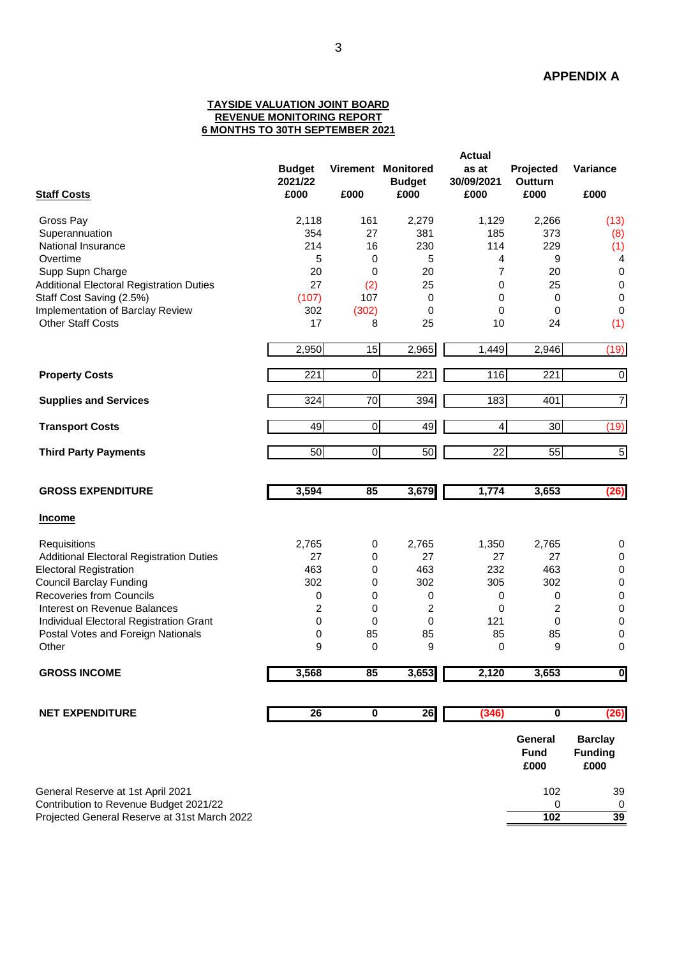#### **TAYSIDE VALUATION JOINT BOARD REVENUE MONITORING REPORT 6 MONTHS TO 30TH SEPTEMBER 2021**

|                                                 | <b>Actual</b>                    |                         |                                             |                             |                                |                                          |  |
|-------------------------------------------------|----------------------------------|-------------------------|---------------------------------------------|-----------------------------|--------------------------------|------------------------------------------|--|
| <b>Staff Costs</b>                              | <b>Budget</b><br>2021/22<br>£000 | £000                    | Virement Monitored<br><b>Budget</b><br>£000 | as at<br>30/09/2021<br>£000 | Projected<br>Outturn<br>£000   | Variance<br>£000                         |  |
|                                                 |                                  |                         |                                             |                             |                                |                                          |  |
| Gross Pay                                       | 2,118                            | 161                     | 2,279                                       | 1,129                       | 2,266                          | (13)                                     |  |
| Superannuation                                  | 354                              | 27                      | 381                                         | 185                         | 373                            | (8)                                      |  |
| National Insurance                              | 214                              | 16                      | 230                                         | 114                         | 229                            | (1)                                      |  |
| Overtime                                        | 5                                | 0                       | 5                                           | 4                           | 9                              | 4                                        |  |
| Supp Supn Charge                                | 20                               | 0                       | 20                                          | 7                           | 20                             | $\boldsymbol{0}$                         |  |
| <b>Additional Electoral Registration Duties</b> | 27                               | (2)                     | 25                                          | $\mathbf 0$                 | 25                             | 0                                        |  |
| Staff Cost Saving (2.5%)                        | (107)                            | 107                     | 0                                           | $\mathbf 0$                 | 0                              | 0                                        |  |
| Implementation of Barclay Review                | 302                              | (302)                   | 0                                           | 0                           | 0                              | 0                                        |  |
| <b>Other Staff Costs</b>                        | 17                               | 8                       | 25                                          | 10                          | 24                             | (1)                                      |  |
|                                                 | 2,950                            | 15                      | 2,965                                       | 1,449                       | 2,946                          | (19)                                     |  |
| <b>Property Costs</b>                           | 221                              | $\overline{\mathsf{o}}$ | 221                                         | 116                         | 221                            | $\boldsymbol{0}$                         |  |
|                                                 |                                  |                         |                                             |                             |                                |                                          |  |
| <b>Supplies and Services</b>                    | 324                              | 70                      | 394                                         | 183                         | 401                            | $\overline{7}$                           |  |
| <b>Transport Costs</b>                          | 49                               | $\mathbf 0$             | 49                                          | 4                           | $\overline{30}$                | (19)                                     |  |
| <b>Third Party Payments</b>                     | $\overline{50}$                  | $\overline{\mathsf{o}}$ | 50                                          | $\overline{22}$             | $\overline{55}$                | 5                                        |  |
|                                                 |                                  |                         |                                             |                             |                                |                                          |  |
| <b>GROSS EXPENDITURE</b>                        | 3,594                            | 85                      | 3,679                                       | 1,774                       | 3,653                          | (26)                                     |  |
| <b>Income</b>                                   |                                  |                         |                                             |                             |                                |                                          |  |
| Requisitions                                    | 2,765                            | 0                       | 2,765                                       | 1,350                       | 2,765                          | 0                                        |  |
| <b>Additional Electoral Registration Duties</b> | 27                               | $\mathbf 0$             | 27                                          | 27                          | 27                             | $\pmb{0}$                                |  |
| <b>Electoral Registration</b>                   | 463                              | $\mathbf 0$             | 463                                         | 232                         | 463                            | 0                                        |  |
| <b>Council Barclay Funding</b>                  | 302                              | 0                       | 302                                         | 305                         | 302                            | 0                                        |  |
| <b>Recoveries from Councils</b>                 | 0                                | 0                       | 0                                           | 0                           | 0                              | 0                                        |  |
| Interest on Revenue Balances                    | 2                                | 0                       | 2                                           | $\mathbf 0$                 | $\overline{c}$                 | 0                                        |  |
| Individual Electoral Registration Grant         | 0                                | 0                       | 0                                           | 121                         | 0                              | 0                                        |  |
| Postal Votes and Foreign Nationals              | 0                                | 85                      | 85                                          | 85                          | 85                             | 0                                        |  |
| Other                                           | 9                                | 0                       | 9                                           | 0                           | 9                              | 0                                        |  |
| <b>GROSS INCOME</b>                             | 3,568                            | 85                      | 3,653                                       | 2,120                       | 3,653                          | $\overline{\mathbf{0}}$                  |  |
| <b>NET EXPENDITURE</b>                          | $\overline{26}$                  | $\overline{\mathbf{0}}$ | 26                                          | (346)                       | $\mathbf 0$                    | (26)                                     |  |
|                                                 |                                  |                         |                                             |                             |                                |                                          |  |
|                                                 |                                  |                         |                                             |                             | General<br><b>Fund</b><br>£000 | <b>Barclay</b><br><b>Funding</b><br>£000 |  |
| General Reserve at 1st April 2021               |                                  |                         |                                             |                             | 102                            | 39                                       |  |

Contribution to Revenue Budget 2021/22 0 0

Projected General Reserve at 31st March 2022 **102 39**